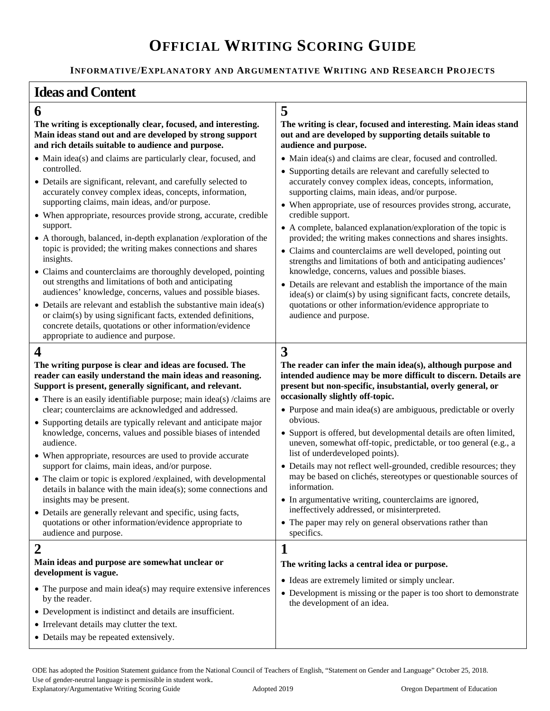# **OFFICIAL WRITING SCORING GUIDE**

**INFORMATIVE/EXPLANATORY AND ARGUMENTATIVE WRITING AND RESEARCH PROJECTS**

## **Ideas and Content**

## **6 5**

**The writing is exceptionally clear, focused, and interesting. Main ideas stand out and are developed by strong support and rich details suitable to audience and purpose.** 

- Main idea(s) and claims are particularly clear, focused, and controlled.
- Details are significant, relevant, and carefully selected to accurately convey complex ideas, concepts, information, supporting claims, main ideas, and/or purpose.
- When appropriate, resources provide strong, accurate, credible support.
- A thorough, balanced, in-depth explanation /exploration of the topic is provided; the writing makes connections and shares insights.
- Claims and counterclaims are thoroughly developed, pointing out strengths and limitations of both and anticipating audiences' knowledge, concerns, values and possible biases.
- Details are relevant and establish the substantive main idea(s) or claim(s) by using significant facts, extended definitions, concrete details, quotations or other information/evidence appropriate to audience and purpose.

## **4 3**

**The writing purpose is clear and ideas are focused. The reader can easily understand the main ideas and reasoning. Support is present, generally significant, and relevant.**

- There is an easily identifiable purpose; main idea(s) /claims are clear; counterclaims are acknowledged and addressed.
- Supporting details are typically relevant and anticipate major knowledge, concerns, values and possible biases of intended audience.
- When appropriate, resources are used to provide accurate support for claims, main ideas, and/or purpose.
- The claim or topic is explored /explained, with developmental details in balance with the main idea(s); some connections and insights may be present.
- Details are generally relevant and specific, using facts, quotations or other information/evidence appropriate to audience and purpose.

#### **Main ideas and purpose are somewhat unclear or development is vague.**

• The purpose and main idea(s) may require extensive inferences by the reader.

- Development is indistinct and details are insufficient.
- Irrelevant details may clutter the text.
- Details may be repeated extensively.

### **The writing is clear, focused and interesting. Main ideas stand out and are developed by supporting details suitable to audience and purpose.**

- Main idea(s) and claims are clear, focused and controlled.
- Supporting details are relevant and carefully selected to accurately convey complex ideas, concepts, information, supporting claims, main ideas, and/or purpose.
- When appropriate, use of resources provides strong, accurate, credible support.
- A complete, balanced explanation/exploration of the topic is provided; the writing makes connections and shares insights.
- Claims and counterclaims are well developed, pointing out strengths and limitations of both and anticipating audiences' knowledge, concerns, values and possible biases.
- Details are relevant and establish the importance of the main idea(s) or claim(s) by using significant facts, concrete details, quotations or other information/evidence appropriate to audience and purpose.

**The reader can infer the main idea(s), although purpose and intended audience may be more difficult to discern. Details are present but non-specific, insubstantial, overly general, or occasionally slightly off-topic.** 

- Purpose and main idea(s) are ambiguous, predictable or overly obvious.
- Support is offered, but developmental details are often limited, uneven, somewhat off-topic, predictable, or too general (e.g., a list of underdeveloped points).
- Details may not reflect well-grounded, credible resources; they may be based on clichés, stereotypes or questionable sources of information.
- In argumentative writing, counterclaims are ignored, ineffectively addressed, or misinterpreted.
- The paper may rely on general observations rather than specifics.

## **2 1**

### **The writing lacks a central idea or purpose.**

- Ideas are extremely limited or simply unclear.
- Development is missing or the paper is too short to demonstrate the development of an idea.

ODE has adopted the Position Statement guidance from the National Council of Teachers of English, "Statement on Gender and Language" October 25, 2018. Use of gender-neutral language is permissible in student work. Explanatory/Argumentative Writing Scoring Guide Adopted 2019 Oregon Department of Education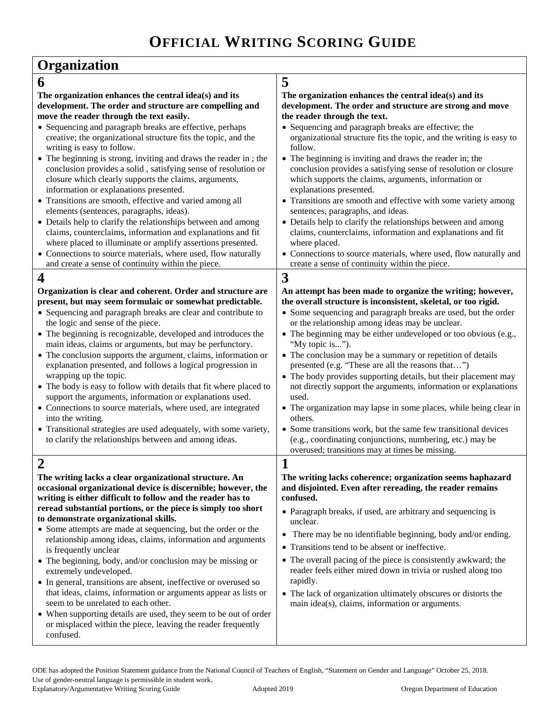| Organization                                                                                                                                                                                                                          |                                                                                                                                                                                                                |
|---------------------------------------------------------------------------------------------------------------------------------------------------------------------------------------------------------------------------------------|----------------------------------------------------------------------------------------------------------------------------------------------------------------------------------------------------------------|
| 6                                                                                                                                                                                                                                     | 5                                                                                                                                                                                                              |
| The organization enhances the central idea(s) and its<br>development. The order and structure are compelling and<br>move the reader through the text easily.                                                                          | The organization enhances the central idea(s) and its<br>development. The order and structure are strong and move<br>the reader through the text.                                                              |
| • Sequencing and paragraph breaks are effective, perhaps<br>creative; the organizational structure fits the topic, and the<br>writing is easy to follow.                                                                              | • Sequencing and paragraph breaks are effective; the<br>organizational structure fits the topic, and the writing is easy to<br>follow.                                                                         |
| • The beginning is strong, inviting and draws the reader in; the<br>conclusion provides a solid, satisfying sense of resolution or<br>closure which clearly supports the claims, arguments,<br>information or explanations presented. | • The beginning is inviting and draws the reader in; the<br>conclusion provides a satisfying sense of resolution or closure<br>which supports the claims, arguments, information or<br>explanations presented. |
| • Transitions are smooth, effective and varied among all                                                                                                                                                                              | • Transitions are smooth and effective with some variety among                                                                                                                                                 |
| elements (sentences, paragraphs, ideas).                                                                                                                                                                                              | sentences, paragraphs, and ideas.                                                                                                                                                                              |
| • Details help to clarify the relationships between and among<br>claims, counterclaims, information and explanations and fit<br>where placed to illuminate or amplify assertions presented.                                           | • Details help to clarify the relationships between and among<br>claims, counterclaims, information and explanations and fit<br>where placed.                                                                  |
| • Connections to source materials, where used, flow naturally                                                                                                                                                                         | • Connections to source materials, where used, flow naturally and                                                                                                                                              |
| and create a sense of continuity within the piece.                                                                                                                                                                                    | create a sense of continuity within the piece.                                                                                                                                                                 |
| $\overline{\mathbf{4}}$                                                                                                                                                                                                               | 3                                                                                                                                                                                                              |
| Organization is clear and coherent. Order and structure are<br>present, but may seem formulaic or somewhat predictable.                                                                                                               | An attempt has been made to organize the writing; however,<br>the overall structure is inconsistent, skeletal, or too rigid.                                                                                   |
| • Sequencing and paragraph breaks are clear and contribute to                                                                                                                                                                         | • Some sequencing and paragraph breaks are used, but the order                                                                                                                                                 |
| the logic and sense of the piece.                                                                                                                                                                                                     | or the relationship among ideas may be unclear.                                                                                                                                                                |
| • The beginning is recognizable, developed and introduces the<br>main ideas, claims or arguments, but may be perfunctory.                                                                                                             | • The beginning may be either undeveloped or too obvious (e.g.,<br>"My topic is").                                                                                                                             |
| • The conclusion supports the argument, claims, information or<br>explanation presented, and follows a logical progression in                                                                                                         | • The conclusion may be a summary or repetition of details<br>presented (e.g. "These are all the reasons that")                                                                                                |
| wrapping up the topic.<br>• The body is easy to follow with details that fit where placed to<br>support the arguments, information or explanations used.                                                                              | • The body provides supporting details, but their placement may<br>not directly support the arguments, information or explanations<br>used.                                                                    |
| • Connections to source materials, where used, are integrated<br>into the writing.                                                                                                                                                    | • The organization may lapse in some places, while being clear in<br>others.                                                                                                                                   |
| • Transitional strategies are used adequately, with some variety,<br>to clarify the relationships between and among ideas.                                                                                                            | • Some transitions work, but the same few transitional devices<br>(e.g., coordinating conjunctions, numbering, etc.) may be                                                                                    |
| $\blacktriangle$                                                                                                                                                                                                                      | overused; transitions may at times be missing.<br>$\blacktriangleleft$                                                                                                                                         |
|                                                                                                                                                                                                                                       | $\bf{l}$                                                                                                                                                                                                       |
| The writing lacks a clear organizational structure. An<br>occasional organizational device is discernible; however, the<br>writing is either difficult to follow and the reader has to                                                | The writing lacks coherence; organization seems haphazard<br>and disjointed. Even after rereading, the reader remains<br>confused.                                                                             |
| reread substantial portions, or the piece is simply too short                                                                                                                                                                         | • Paragraph breaks, if used, are arbitrary and sequencing is                                                                                                                                                   |
| to demonstrate organizational skills.                                                                                                                                                                                                 | unclear.                                                                                                                                                                                                       |
| • Some attempts are made at sequencing, but the order or the                                                                                                                                                                          | • There may be no identifiable beginning, body and/or ending.                                                                                                                                                  |
| relationship among ideas, claims, information and arguments                                                                                                                                                                           | • Transitions tend to be absent or ineffective.                                                                                                                                                                |
| is frequently unclear<br>• The beginning, body, and/or conclusion may be missing or                                                                                                                                                   | • The overall pacing of the piece is consistently awkward; the                                                                                                                                                 |
| extremely undeveloped.<br>• In general, transitions are absent, ineffective or overused so                                                                                                                                            | reader feels either mired down in trivia or rushed along too<br>rapidly.                                                                                                                                       |
| that ideas, claims, information or arguments appear as lists or<br>seem to be unrelated to each other.                                                                                                                                | • The lack of organization ultimately obscures or distorts the<br>main idea(s), claims, information or arguments.                                                                                              |
| • When supporting details are used, they seem to be out of order<br>or misplaced within the piece, leaving the reader frequently<br>confused.                                                                                         |                                                                                                                                                                                                                |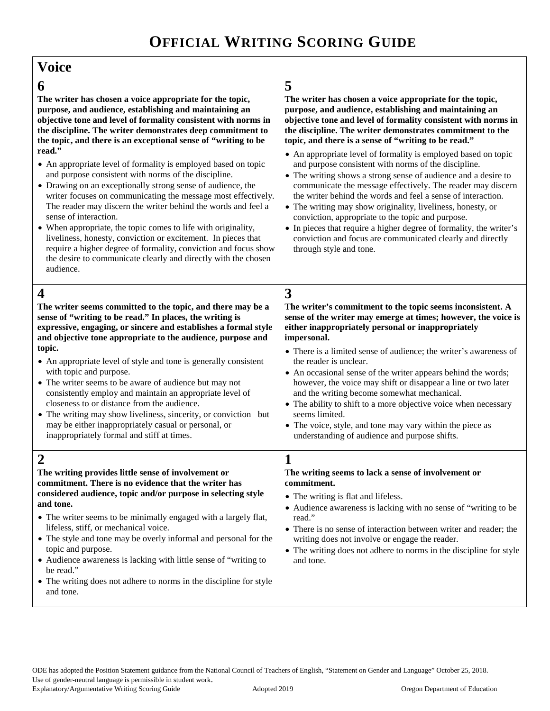Г

| <b>Voice</b>                                                                                                                                                                                                                                                                                                                                                                                                                                                                                                                                                                                                                                                                                                                                                                                                                                                                                                                                                                |                                                                                                                                                                                                                                                                                                                                                                                                                                                                                                                                                                                                                                                                                                                                                                                                                                                                                                                               |
|-----------------------------------------------------------------------------------------------------------------------------------------------------------------------------------------------------------------------------------------------------------------------------------------------------------------------------------------------------------------------------------------------------------------------------------------------------------------------------------------------------------------------------------------------------------------------------------------------------------------------------------------------------------------------------------------------------------------------------------------------------------------------------------------------------------------------------------------------------------------------------------------------------------------------------------------------------------------------------|-------------------------------------------------------------------------------------------------------------------------------------------------------------------------------------------------------------------------------------------------------------------------------------------------------------------------------------------------------------------------------------------------------------------------------------------------------------------------------------------------------------------------------------------------------------------------------------------------------------------------------------------------------------------------------------------------------------------------------------------------------------------------------------------------------------------------------------------------------------------------------------------------------------------------------|
| 6<br>The writer has chosen a voice appropriate for the topic,<br>purpose, and audience, establishing and maintaining an<br>objective tone and level of formality consistent with norms in<br>the discipline. The writer demonstrates deep commitment to<br>the topic, and there is an exceptional sense of "writing to be<br>read."<br>• An appropriate level of formality is employed based on topic<br>and purpose consistent with norms of the discipline.<br>• Drawing on an exceptionally strong sense of audience, the<br>writer focuses on communicating the message most effectively.<br>The reader may discern the writer behind the words and feel a<br>sense of interaction.<br>• When appropriate, the topic comes to life with originality,<br>liveliness, honesty, conviction or excitement. In pieces that<br>require a higher degree of formality, conviction and focus show<br>the desire to communicate clearly and directly with the chosen<br>audience. | 5<br>The writer has chosen a voice appropriate for the topic,<br>purpose, and audience, establishing and maintaining an<br>objective tone and level of formality consistent with norms in<br>the discipline. The writer demonstrates commitment to the<br>topic, and there is a sense of "writing to be read."<br>• An appropriate level of formality is employed based on topic<br>and purpose consistent with norms of the discipline.<br>• The writing shows a strong sense of audience and a desire to<br>communicate the message effectively. The reader may discern<br>the writer behind the words and feel a sense of interaction.<br>• The writing may show originality, liveliness, honesty, or<br>conviction, appropriate to the topic and purpose.<br>• In pieces that require a higher degree of formality, the writer's<br>conviction and focus are communicated clearly and directly<br>through style and tone. |
| $\boldsymbol{4}$<br>The writer seems committed to the topic, and there may be a<br>sense of "writing to be read." In places, the writing is<br>expressive, engaging, or sincere and establishes a formal style<br>and objective tone appropriate to the audience, purpose and<br>topic.<br>• An appropriate level of style and tone is generally consistent<br>with topic and purpose.<br>• The writer seems to be aware of audience but may not<br>consistently employ and maintain an appropriate level of<br>closeness to or distance from the audience.<br>• The writing may show liveliness, sincerity, or conviction but<br>may be either inappropriately casual or personal, or<br>inappropriately formal and stiff at times.                                                                                                                                                                                                                                        | 3<br>The writer's commitment to the topic seems inconsistent. A<br>sense of the writer may emerge at times; however, the voice is<br>either inappropriately personal or inappropriately<br>impersonal.<br>• There is a limited sense of audience; the writer's awareness of<br>the reader is unclear.<br>• An occasional sense of the writer appears behind the words;<br>however, the voice may shift or disappear a line or two later<br>and the writing become somewhat mechanical.<br>• The ability to shift to a more objective voice when necessary<br>seems limited.<br>• The voice, style, and tone may vary within the piece as<br>understanding of audience and purpose shifts.                                                                                                                                                                                                                                     |
| $\overline{2}$<br>The writing provides little sense of involvement or<br>commitment. There is no evidence that the writer has<br>considered audience, topic and/or purpose in selecting style<br>and tone.<br>• The writer seems to be minimally engaged with a largely flat,<br>lifeless, stiff, or mechanical voice.<br>• The style and tone may be overly informal and personal for the<br>topic and purpose.<br>• Audience awareness is lacking with little sense of "writing to<br>be read."<br>• The writing does not adhere to norms in the discipline for style<br>and tone.                                                                                                                                                                                                                                                                                                                                                                                        | The writing seems to lack a sense of involvement or<br>commitment.<br>• The writing is flat and lifeless.<br>• Audience awareness is lacking with no sense of "writing to be<br>read."<br>• There is no sense of interaction between writer and reader; the<br>writing does not involve or engage the reader.<br>• The writing does not adhere to norms in the discipline for style<br>and tone.                                                                                                                                                                                                                                                                                                                                                                                                                                                                                                                              |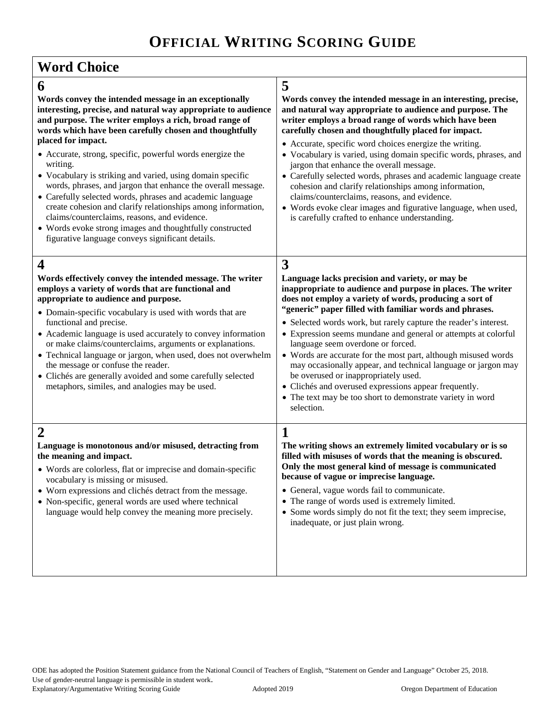| <b>Word Choice</b>                                                                                                                                                                                                                                                                                                                                                                                                                                                                                                                                                                                 |                                                                                                                                                                                                                                                                                                                                                                                                                                                                                                                                                                                                                                                                                                                                 |
|----------------------------------------------------------------------------------------------------------------------------------------------------------------------------------------------------------------------------------------------------------------------------------------------------------------------------------------------------------------------------------------------------------------------------------------------------------------------------------------------------------------------------------------------------------------------------------------------------|---------------------------------------------------------------------------------------------------------------------------------------------------------------------------------------------------------------------------------------------------------------------------------------------------------------------------------------------------------------------------------------------------------------------------------------------------------------------------------------------------------------------------------------------------------------------------------------------------------------------------------------------------------------------------------------------------------------------------------|
| 6                                                                                                                                                                                                                                                                                                                                                                                                                                                                                                                                                                                                  | 5                                                                                                                                                                                                                                                                                                                                                                                                                                                                                                                                                                                                                                                                                                                               |
| Words convey the intended message in an exceptionally<br>interesting, precise, and natural way appropriate to audience<br>and purpose. The writer employs a rich, broad range of<br>words which have been carefully chosen and thoughtfully<br>placed for impact.                                                                                                                                                                                                                                                                                                                                  | Words convey the intended message in an interesting, precise,<br>and natural way appropriate to audience and purpose. The<br>writer employs a broad range of words which have been<br>carefully chosen and thoughtfully placed for impact.                                                                                                                                                                                                                                                                                                                                                                                                                                                                                      |
| • Accurate, strong, specific, powerful words energize the<br>writing.<br>• Vocabulary is striking and varied, using domain specific<br>words, phrases, and jargon that enhance the overall message.<br>• Carefully selected words, phrases and academic language<br>create cohesion and clarify relationships among information,<br>claims/counterclaims, reasons, and evidence.<br>• Words evoke strong images and thoughtfully constructed<br>figurative language conveys significant details.                                                                                                   | • Accurate, specific word choices energize the writing.<br>• Vocabulary is varied, using domain specific words, phrases, and<br>jargon that enhance the overall message.<br>• Carefully selected words, phrases and academic language create<br>cohesion and clarify relationships among information,<br>claims/counterclaims, reasons, and evidence.<br>• Words evoke clear images and figurative language, when used,<br>is carefully crafted to enhance understanding.                                                                                                                                                                                                                                                       |
| $\boldsymbol{4}$                                                                                                                                                                                                                                                                                                                                                                                                                                                                                                                                                                                   | 3                                                                                                                                                                                                                                                                                                                                                                                                                                                                                                                                                                                                                                                                                                                               |
| Words effectively convey the intended message. The writer<br>employs a variety of words that are functional and<br>appropriate to audience and purpose.<br>• Domain-specific vocabulary is used with words that are<br>functional and precise.<br>• Academic language is used accurately to convey information<br>or make claims/counterclaims, arguments or explanations.<br>• Technical language or jargon, when used, does not overwhelm<br>the message or confuse the reader.<br>• Clichés are generally avoided and some carefully selected<br>metaphors, similes, and analogies may be used. | Language lacks precision and variety, or may be<br>inappropriate to audience and purpose in places. The writer<br>does not employ a variety of words, producing a sort of<br>"generic" paper filled with familiar words and phrases.<br>• Selected words work, but rarely capture the reader's interest.<br>• Expression seems mundane and general or attempts at colorful<br>language seem overdone or forced.<br>• Words are accurate for the most part, although misused words<br>may occasionally appear, and technical language or jargon may<br>be overused or inappropriately used.<br>• Clichés and overused expressions appear frequently.<br>• The text may be too short to demonstrate variety in word<br>selection. |
| $\overline{2}$<br>Language is monotonous and/or misused, detracting from<br>the meaning and impact.<br>• Words are colorless, flat or imprecise and domain-specific<br>vocabulary is missing or misused.<br>• Worn expressions and clichés detract from the message.<br>• Non-specific, general words are used where technical<br>language would help convey the meaning more precisely.                                                                                                                                                                                                           | $\mathbf{1}$<br>The writing shows an extremely limited vocabulary or is so<br>filled with misuses of words that the meaning is obscured.<br>Only the most general kind of message is communicated<br>because of vague or imprecise language.<br>• General, vague words fail to communicate.<br>• The range of words used is extremely limited.<br>• Some words simply do not fit the text; they seem imprecise,<br>inadequate, or just plain wrong.                                                                                                                                                                                                                                                                             |
|                                                                                                                                                                                                                                                                                                                                                                                                                                                                                                                                                                                                    |                                                                                                                                                                                                                                                                                                                                                                                                                                                                                                                                                                                                                                                                                                                                 |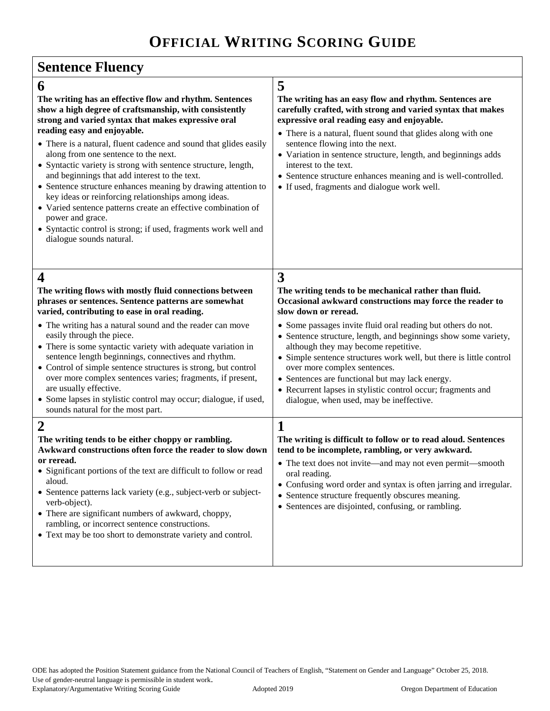| <b>Sentence Fluency</b>                                                                                                                                                                                                                                                                                                                                                                                                                                                                                                                                                                                                                                                                                                                                                                                                                                                                                                                                                                                                                                                                                                                                                    |                                                                                                                                                                                                                                                                                                                                                                                                                                                                                                                                                                                                                                                                                                                                                                                                                                                                                                                                                                                            |  |
|----------------------------------------------------------------------------------------------------------------------------------------------------------------------------------------------------------------------------------------------------------------------------------------------------------------------------------------------------------------------------------------------------------------------------------------------------------------------------------------------------------------------------------------------------------------------------------------------------------------------------------------------------------------------------------------------------------------------------------------------------------------------------------------------------------------------------------------------------------------------------------------------------------------------------------------------------------------------------------------------------------------------------------------------------------------------------------------------------------------------------------------------------------------------------|--------------------------------------------------------------------------------------------------------------------------------------------------------------------------------------------------------------------------------------------------------------------------------------------------------------------------------------------------------------------------------------------------------------------------------------------------------------------------------------------------------------------------------------------------------------------------------------------------------------------------------------------------------------------------------------------------------------------------------------------------------------------------------------------------------------------------------------------------------------------------------------------------------------------------------------------------------------------------------------------|--|
| 6<br>The writing has an effective flow and rhythm. Sentences<br>show a high degree of craftsmanship, with consistently<br>strong and varied syntax that makes expressive oral<br>reading easy and enjoyable.<br>• There is a natural, fluent cadence and sound that glides easily<br>along from one sentence to the next.<br>• Syntactic variety is strong with sentence structure, length,<br>and beginnings that add interest to the text.<br>• Sentence structure enhances meaning by drawing attention to<br>key ideas or reinforcing relationships among ideas.<br>• Varied sentence patterns create an effective combination of<br>power and grace.<br>• Syntactic control is strong; if used, fragments work well and<br>dialogue sounds natural.                                                                                                                                                                                                                                                                                                                                                                                                                   | 5<br>The writing has an easy flow and rhythm. Sentences are<br>carefully crafted, with strong and varied syntax that makes<br>expressive oral reading easy and enjoyable.<br>• There is a natural, fluent sound that glides along with one<br>sentence flowing into the next.<br>• Variation in sentence structure, length, and beginnings adds<br>interest to the text.<br>• Sentence structure enhances meaning and is well-controlled.<br>• If used, fragments and dialogue work well.                                                                                                                                                                                                                                                                                                                                                                                                                                                                                                  |  |
| $\overline{\bf 4}$<br>The writing flows with mostly fluid connections between<br>phrases or sentences. Sentence patterns are somewhat<br>varied, contributing to ease in oral reading.<br>• The writing has a natural sound and the reader can move<br>easily through the piece.<br>• There is some syntactic variety with adequate variation in<br>sentence length beginnings, connectives and rhythm.<br>• Control of simple sentence structures is strong, but control<br>over more complex sentences varies; fragments, if present,<br>are usually effective.<br>• Some lapses in stylistic control may occur; dialogue, if used,<br>sounds natural for the most part.<br>$\overline{2}$<br>The writing tends to be either choppy or rambling.<br>Awkward constructions often force the reader to slow down<br>or reread.<br>• Significant portions of the text are difficult to follow or read<br>aloud.<br>• Sentence patterns lack variety (e.g., subject-verb or subject-<br>verb-object).<br>• There are significant numbers of awkward, choppy,<br>rambling, or incorrect sentence constructions.<br>• Text may be too short to demonstrate variety and control. | 3<br>The writing tends to be mechanical rather than fluid.<br>Occasional awkward constructions may force the reader to<br>slow down or reread.<br>• Some passages invite fluid oral reading but others do not.<br>• Sentence structure, length, and beginnings show some variety,<br>although they may become repetitive.<br>• Simple sentence structures work well, but there is little control<br>over more complex sentences.<br>• Sentences are functional but may lack energy.<br>• Recurrent lapses in stylistic control occur; fragments and<br>dialogue, when used, may be ineffective.<br>1<br>The writing is difficult to follow or to read aloud. Sentences<br>tend to be incomplete, rambling, or very awkward.<br>• The text does not invite—and may not even permit—smooth<br>oral reading.<br>• Confusing word order and syntax is often jarring and irregular.<br>• Sentence structure frequently obscures meaning.<br>• Sentences are disjointed, confusing, or rambling. |  |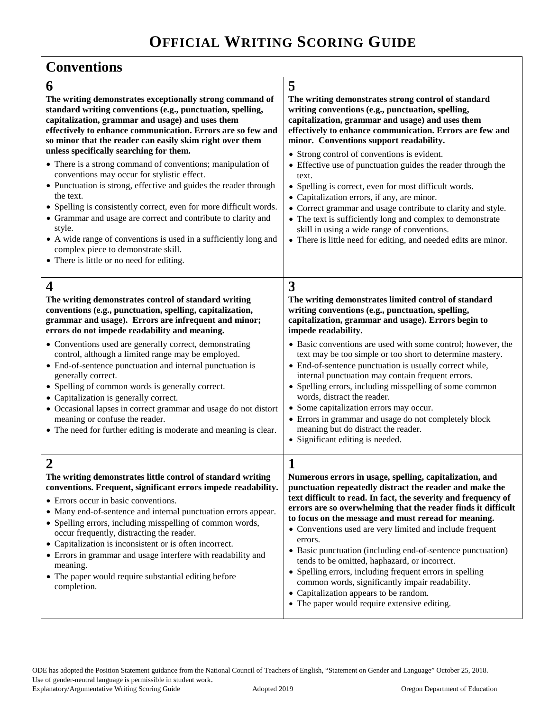# **OFFICIAL WRITING SCORING GUIDE**

| <b>Conventions</b>                                                                                                                                                                                                                                                                                                                                                                                                                                                                                                                                                                                                                                                                                                                                                                                                                                            |                                                                                                                                                                                                                                                                                                                                                                                                                                                                                                                                                                                                                                                                                                                                                          |  |
|---------------------------------------------------------------------------------------------------------------------------------------------------------------------------------------------------------------------------------------------------------------------------------------------------------------------------------------------------------------------------------------------------------------------------------------------------------------------------------------------------------------------------------------------------------------------------------------------------------------------------------------------------------------------------------------------------------------------------------------------------------------------------------------------------------------------------------------------------------------|----------------------------------------------------------------------------------------------------------------------------------------------------------------------------------------------------------------------------------------------------------------------------------------------------------------------------------------------------------------------------------------------------------------------------------------------------------------------------------------------------------------------------------------------------------------------------------------------------------------------------------------------------------------------------------------------------------------------------------------------------------|--|
| 6<br>The writing demonstrates exceptionally strong command of<br>standard writing conventions (e.g., punctuation, spelling,<br>capitalization, grammar and usage) and uses them<br>effectively to enhance communication. Errors are so few and<br>so minor that the reader can easily skim right over them<br>unless specifically searching for them.<br>• There is a strong command of conventions; manipulation of<br>conventions may occur for stylistic effect.<br>• Punctuation is strong, effective and guides the reader through<br>the text.<br>• Spelling is consistently correct, even for more difficult words.<br>• Grammar and usage are correct and contribute to clarity and<br>style.<br>• A wide range of conventions is used in a sufficiently long and<br>complex piece to demonstrate skill.<br>• There is little or no need for editing. | 5<br>The writing demonstrates strong control of standard<br>writing conventions (e.g., punctuation, spelling,<br>capitalization, grammar and usage) and uses them<br>effectively to enhance communication. Errors are few and<br>minor. Conventions support readability.<br>• Strong control of conventions is evident.<br>• Effective use of punctuation guides the reader through the<br>text.<br>• Spelling is correct, even for most difficult words.<br>• Capitalization errors, if any, are minor.<br>• Correct grammar and usage contribute to clarity and style.<br>• The text is sufficiently long and complex to demonstrate<br>skill in using a wide range of conventions.<br>• There is little need for editing, and needed edits are minor. |  |
| 4<br>The writing demonstrates control of standard writing<br>conventions (e.g., punctuation, spelling, capitalization,<br>grammar and usage). Errors are infrequent and minor;<br>errors do not impede readability and meaning.<br>• Conventions used are generally correct, demonstrating<br>control, although a limited range may be employed.<br>• End-of-sentence punctuation and internal punctuation is<br>generally correct.<br>• Spelling of common words is generally correct.<br>• Capitalization is generally correct.<br>• Occasional lapses in correct grammar and usage do not distort<br>meaning or confuse the reader.<br>• The need for further editing is moderate and meaning is clear.                                                                                                                                                    | 3<br>The writing demonstrates limited control of standard<br>writing conventions (e.g., punctuation, spelling,<br>capitalization, grammar and usage). Errors begin to<br>impede readability.<br>• Basic conventions are used with some control; however, the<br>text may be too simple or too short to determine mastery.<br>• End-of-sentence punctuation is usually correct while,<br>internal punctuation may contain frequent errors.<br>• Spelling errors, including misspelling of some common<br>words, distract the reader.<br>• Some capitalization errors may occur.<br>• Errors in grammar and usage do not completely block<br>meaning but do distract the reader.<br>• Significant editing is needed.                                       |  |
| ◢<br>The writing demonstrates little control of standard writing<br>conventions. Frequent, significant errors impede readability.<br>• Errors occur in basic conventions.<br>• Many end-of-sentence and internal punctuation errors appear.<br>• Spelling errors, including misspelling of common words,<br>occur frequently, distracting the reader.<br>• Capitalization is inconsistent or is often incorrect.<br>• Errors in grammar and usage interfere with readability and<br>meaning.<br>• The paper would require substantial editing before<br>completion.                                                                                                                                                                                                                                                                                           | 1<br>Numerous errors in usage, spelling, capitalization, and<br>punctuation repeatedly distract the reader and make the<br>text difficult to read. In fact, the severity and frequency of<br>errors are so overwhelming that the reader finds it difficult<br>to focus on the message and must reread for meaning.<br>• Conventions used are very limited and include frequent<br>errors.<br>• Basic punctuation (including end-of-sentence punctuation)<br>tends to be omitted, haphazard, or incorrect.<br>• Spelling errors, including frequent errors in spelling<br>common words, significantly impair readability.<br>• Capitalization appears to be random.<br>• The paper would require extensive editing.                                       |  |